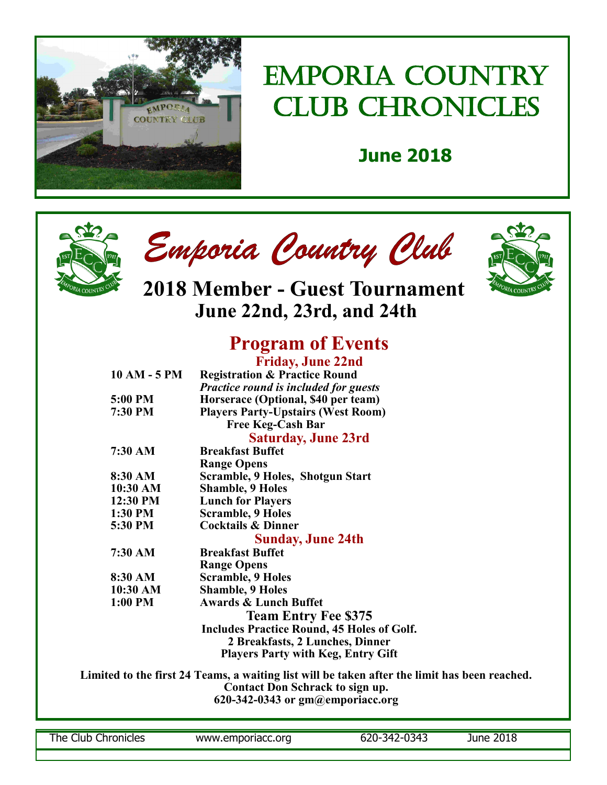

## EMPORIA COUNTRY CLUB CHRONICLES

## **June 2018**







**2018 Member - Guest Tournament June 22nd, 23rd, and 24th**

### **Program of Events Friday, June 22nd**

|                                        |                   | 11100, 90000                                                                                  |  |  |  |  |
|----------------------------------------|-------------------|-----------------------------------------------------------------------------------------------|--|--|--|--|
|                                        | 10 AM - 5 PM      | <b>Registration &amp; Practice Round</b>                                                      |  |  |  |  |
|                                        |                   | Practice round is included for guests                                                         |  |  |  |  |
|                                        | 5:00 PM           | Horserace (Optional, \$40 per team)                                                           |  |  |  |  |
|                                        | 7:30 PM           | <b>Players Party-Upstairs (West Room)</b>                                                     |  |  |  |  |
|                                        |                   | <b>Free Keg-Cash Bar</b>                                                                      |  |  |  |  |
|                                        |                   | <b>Saturday, June 23rd</b>                                                                    |  |  |  |  |
|                                        | $7:30 \text{ AM}$ | <b>Breakfast Buffet</b>                                                                       |  |  |  |  |
|                                        |                   | <b>Range Opens</b>                                                                            |  |  |  |  |
|                                        | 8:30 AM           | Scramble, 9 Holes, Shotgun Start                                                              |  |  |  |  |
|                                        | 10:30 AM          | <b>Shamble, 9 Holes</b>                                                                       |  |  |  |  |
|                                        | 12:30 PM          | <b>Lunch for Players</b>                                                                      |  |  |  |  |
|                                        | 1:30 PM           | <b>Scramble, 9 Holes</b>                                                                      |  |  |  |  |
|                                        | 5:30 PM           | <b>Cocktails &amp; Dinner</b>                                                                 |  |  |  |  |
|                                        |                   | <b>Sunday, June 24th</b>                                                                      |  |  |  |  |
|                                        | 7:30 AM           | <b>Breakfast Buffet</b>                                                                       |  |  |  |  |
|                                        |                   | <b>Range Opens</b>                                                                            |  |  |  |  |
|                                        | 8:30 AM           | <b>Scramble, 9 Holes</b>                                                                      |  |  |  |  |
|                                        | 10:30 AM          | <b>Shamble, 9 Holes</b>                                                                       |  |  |  |  |
|                                        | $1:00$ PM         | <b>Awards &amp; Lunch Buffet</b>                                                              |  |  |  |  |
|                                        |                   | <b>Team Entry Fee \$375</b>                                                                   |  |  |  |  |
|                                        |                   | <b>Includes Practice Round, 45 Holes of Golf.</b>                                             |  |  |  |  |
|                                        |                   | 2 Breakfasts, 2 Lunches, Dinner                                                               |  |  |  |  |
|                                        |                   | <b>Players Party with Keg, Entry Gift</b>                                                     |  |  |  |  |
|                                        |                   | Limited to the first 24 Teams, a waiting list will be taken after the limit has been reached. |  |  |  |  |
|                                        |                   | Contact Don Schrack to sign up.                                                               |  |  |  |  |
| $620 - 342 - 0343$ or gm@emporiacc.org |                   |                                                                                               |  |  |  |  |
|                                        |                   |                                                                                               |  |  |  |  |
|                                        |                   |                                                                                               |  |  |  |  |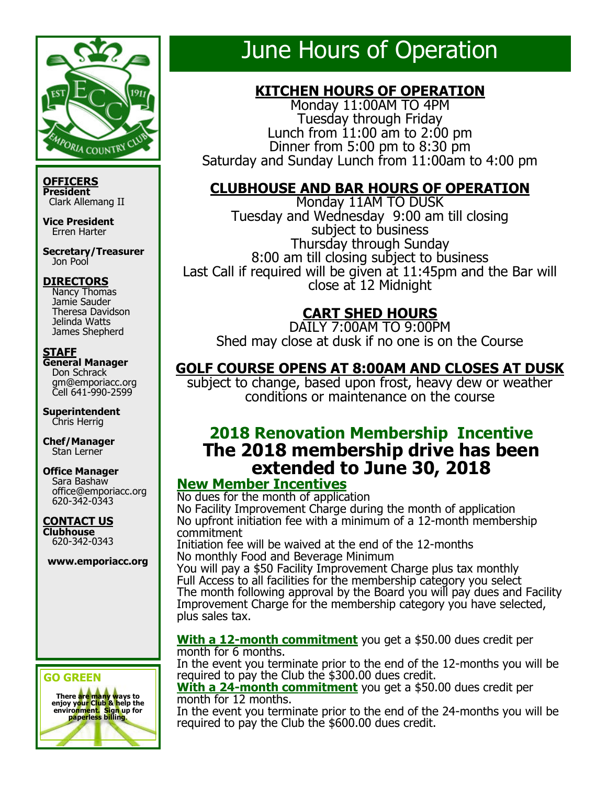

**OFFICERS President** Clark Allemang II

**Vice President** Erren Harter

**Secretary/Treasurer** Jon Pool

### **DIRECTORS**

 Nancy Thomas Jamie Sauder Theresa Davidson Jelinda Watts James Shepherd

### **STAFF**

**General Manager** Don Schrack gm@emporiacc.org Cell 641-990-2599

**Superintendent** Chris Herrig

**Chef/Manager** Stan Lerner

#### **Office Manager** Sara Bashaw office@emporiacc.org 620-342-0343

**CONTACT US Clubhouse** 620-342-0343

**www.emporiacc.org**

### **GO GREEN**



## June Hours of Operation

### **KITCHEN HOURS OF OPERATION**

Monday 11:00AM TO 4PM Tuesday through Friday Lunch from 11:00 am to 2:00 pm Dinner from  $5:00$  pm to  $8:30$  pm Saturday and Sunday Lunch from 11:00am to 4:00 pm

### **CLUBHOUSE AND BAR HOURS OF OPERATION**

Monday 11AM TO DUSK Tuesday and Wednesday 9:00 am till closing subject to business Thursday through Sunday 8:00 am till closing subject to business Last Call if required will be given at 11:45pm and the Bar will close at 12 Midnight

### **CART SHED HOURS**

DAILY 7:00AM TO 9:00PM Shed may close at dusk if no one is on the Course

### **GOLF COURSE OPENS AT 8:00AM AND CLOSES AT DUSK**

subject to change, based upon frost, heavy dew or weather conditions or maintenance on the course

### **2018 Renovation Membership Incentive The 2018 membership drive has been extended to June 30, 2018**

### **New Member Incentives**

No dues for the month of application No Facility Improvement Charge during the month of application No upfront initiation fee with a minimum of a 12-month membership commitment

Initiation fee will be waived at the end of the 12-months No monthly Food and Beverage Minimum

You will pay a \$50 Facility Improvement Charge plus tax monthly Full Access to all facilities for the membership category you select The month following approval by the Board you will pay dues and Facility Improvement Charge for the membership category you have selected, plus sales tax.

### **With a 12-month commitment** you get a \$50.00 dues credit per month for 6 months.

In the event you terminate prior to the end of the 12-months you will be required to pay the Club the \$300.00 dues credit.

**With a 24-month commitment** you get a \$50.00 dues credit per month for 12 months.

In the event you terminate prior to the end of the 24-months you will be required to pay the Club the \$600.00 dues credit.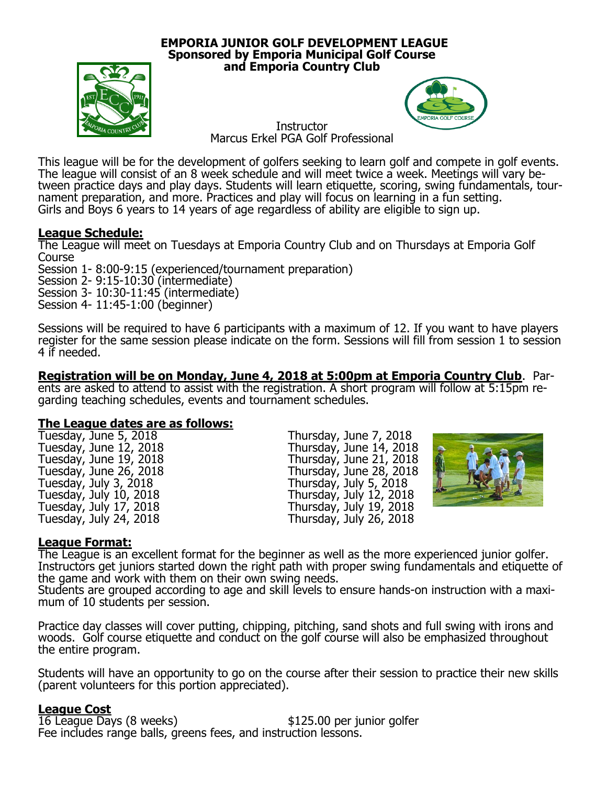### **EMPORIA JUNIOR GOLF DEVELOPMENT LEAGUE Sponsored by Emporia Municipal Golf Course and Emporia Country Club**





**Instructor** Marcus Erkel PGA Golf Professional

This league will be for the development of golfers seeking to learn golf and compete in golf events. The league will consist of an 8 week schedule and will meet twice a week. Meetings will vary between practice days and play days. Students will learn etiquette, scoring, swing fundamentals, tournament preparation, and more. Practices and play will focus on learning in a fun setting. Girls and Boys 6 years to 14 years of age regardless of ability are eligible to sign up.

### **League Schedule:**

The League will meet on Tuesdays at Emporia Country Club and on Thursdays at Emporia Golf Course

Session 1- 8:00-9:15 (experienced/tournament preparation)

Session 2- 9:15-10:30 (intermediate)

Session 3- 10:30-11:45 (intermediate)

Session 4- 11:45-1:00 (beginner)

Sessions will be required to have 6 participants with a maximum of 12. If you want to have players register for the same session please indicate on the form. Sessions will fill from session 1 to session 4 if needed.

**Registration will be on Monday, June 4, 2018 at 5:00pm at Emporia Country Club**. Parents are asked to attend to assist with the registration. A short program will follow at 5:15pm regarding teaching schedules, events and tournament schedules.

## **The League dates are as follows:**

Tuesday, June 5, 2018<br>
Tuesday, June 12, 2018<br>
Thursday, June 14, 2018<br>
Thursday, June 14, 2018 Tuesday, June 12, 2018<br>
Tuesday, June 19, 2018<br>
Tuesday, June 26, 2018<br>
Thursday, June 28, 2018<br>
Thursday, June 28, 2018 Tuesday, June 19, 2018 Thursday, June 21, 2018 Tuesday, June 26, 2018 Thursday, June 28, 2018 Tuesday, July 3, 2018 Thursday, July 5, 2018 Tuesday, July 10, 2018 Thursday, July 12, 2018 Tuesday, July 17, 2018<br>Tuesday, July 24, 2018

Thursday, July  $\overline{19}$ , 2018<br>Thursday, July 26, 2018



### **League Format:**

The League is an excellent format for the beginner as well as the more experienced junior golfer. Instructors get juniors started down the right path with proper swing fundamentals and etiquette of the game and work with them on their own swing needs.

Students are grouped according to age and skill levels to ensure hands-on instruction with a maximum of 10 students per session.

Practice day classes will cover putting, chipping, pitching, sand shots and full swing with irons and woods. Golf course etiquette and conduct on the golf course will also be emphasized throughout the entire program.

Students will have an opportunity to go on the course after their session to practice their new skills (parent volunteers for this portion appreciated).

### **League Cost**

16 League Days (8 weeks) \$125.00 per junior golfer Fee includes range balls, greens fees, and instruction lessons.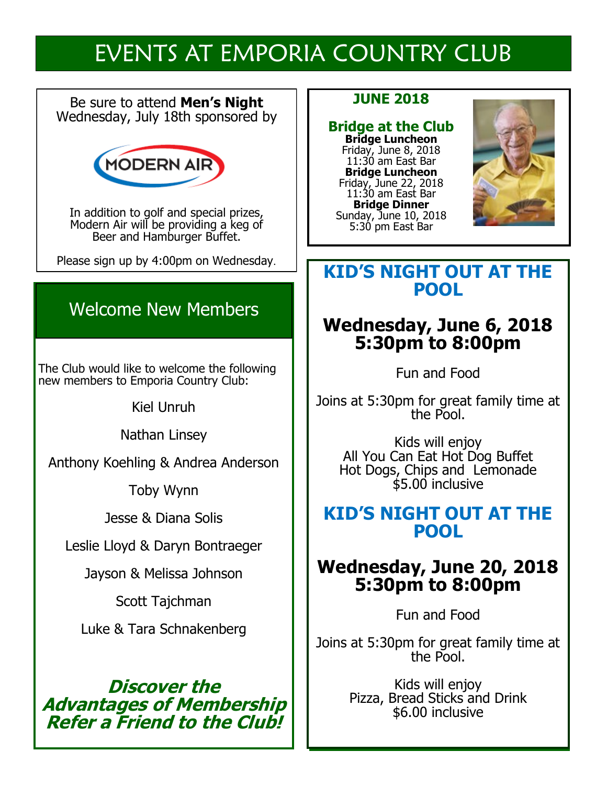## EVENTS AT EMPORIA COUNTRY CLUB

Be sure to attend **Men's Night** Wednesday, July 18th sponsored by



In addition to golf and special prizes, Modern Air will be providing a keg of Beer and Hamburger Buffet.

Please sign up by 4:00pm on Wednesday.

## Welcome New Members

The Club would like to welcome the following new members to Emporia Country Club:

Kiel Unruh

Nathan Linsey

Anthony Koehling & Andrea Anderson

Toby Wynn

Jesse & Diana Solis

Leslie Lloyd & Daryn Bontraeger

Jayson & Melissa Johnson

Scott Tajchman

Luke & Tara Schnakenberg

### **Discover the Advantages of Membership Refer a Friend to the Club!**

### **JUNE 2018**

### **Bridge at the Club Bridge Luncheon**

Friday, June 8, 2018 11:30 am East Bar **Bridge Luncheon**  Friday, June 22, 2018 11:30 am East Bar **Bridge Dinner** Sunday, June 10, 2018 5:30 pm East Bar



### **KID'S NIGHT OUT AT THE POOL**

## **Wednesday, June 6, 2018 5:30pm to 8:00pm**

Fun and Food

Joins at 5:30pm for great family time at the Pool.

Kids will enjoy All You Can Eat Hot Dog Buffet Hot Dogs, Chips and Lemonade \$5.00 inclusive

### **KID'S NIGHT OUT AT THE POOL**

## **Wednesday, June 20, 2018 5:30pm to 8:00pm**

Fun and Food

Joins at 5:30pm for great family time at the Pool.

> Kids will enjoy Pizza, Bread Sticks and Drink \$6.00 inclusive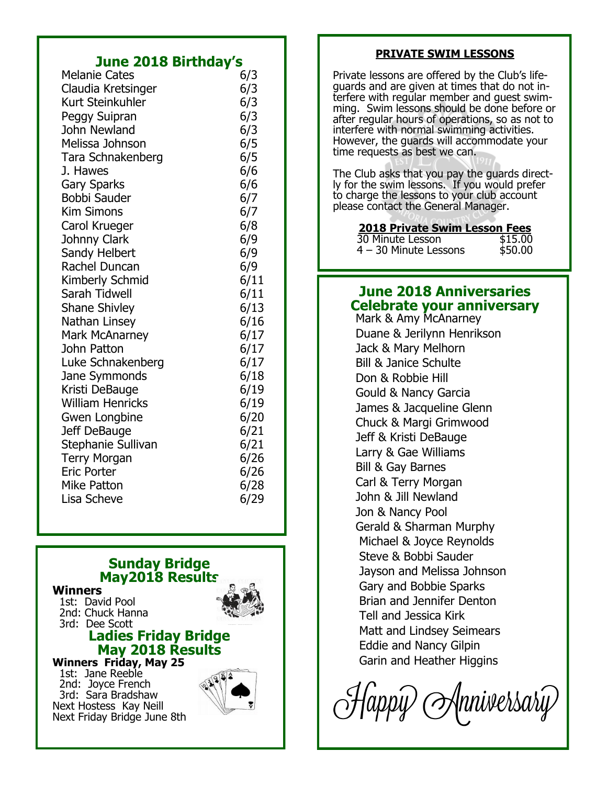### **June 2018 Birthday's**

| <b>Melanie Cates</b>    | 6/3  |
|-------------------------|------|
| Claudia Kretsinger      | 6/3  |
| Kurt Steinkuhler        | 6/3  |
| Peggy Suipran           | 6/3  |
| John Newland            | 6/3  |
| Melissa Johnson         | 6/5  |
| Tara Schnakenberg       | 6/5  |
| J. Hawes                | 6/6  |
| <b>Gary Sparks</b>      | 6/6  |
| Bobbi Sauder            | 6/7  |
| <b>Kim Simons</b>       | 6/7  |
| Carol Krueger           | 6/8  |
| Johnny Clark            | 6/9  |
| Sandy Helbert           | 6/9  |
| Rachel Duncan           | 6/9  |
| Kimberly Schmid         | 6/11 |
| Sarah Tidwell           | 6/11 |
| <b>Shane Shivley</b>    | 6/13 |
| Nathan Linsey           | 6/16 |
| Mark McAnarney          | 6/17 |
| John Patton             | 6/17 |
| Luke Schnakenberg       | 6/17 |
| Jane Symmonds           | 6/18 |
| Kristi DeBauge          | 6/19 |
| <b>William Henricks</b> | 6/19 |
| Gwen Longbine           | 6/20 |
| Jeff DeBauge            | 6/21 |
| Stephanie Sullivan      | 6/21 |
| <b>Terry Morgan</b>     | 6/26 |
| <b>Eric Porter</b>      | 6/26 |
| Mike Patton             | 6/28 |
| Lisa Scheve             | 6/29 |
|                         |      |

### **Sunday Bridge May2018 Results**

#### **Winners**

 1st: David Pool 2nd: Chuck Hanna 3rd: Dee Scott

### **Ladies Friday Bridge May 2018 Results**

**Winners Friday, May 25** 1st: Jane Reeble

 2nd: Joyce French 3rd: Sara Bradshaw Next Hostess Kay Neill Next Friday Bridge June 8th



### **PRIVATE SWIM LESSONS**

Private lessons are offered by the Club's lifeguards and are given at times that do not interfere with regular member and guest swimming. Swim lessons should be done before or after regular hours of operations, so as not to interfere with normal swimming activities. However, the guards will accommodate your time requests as best we can.

The Club asks that you pay the guards directly for the swim lessons. If you would prefer to charge the lessons to your club account please contact the General Manager.

### **2018 Private Swim Lesson Fees**

| 30 Minute Lesson        | \$15.00 |  |  |
|-------------------------|---------|--|--|
| $4 - 30$ Minute Lessons | \$50.00 |  |  |

### **June 2018 Anniversaries Celebrate your anniversary**

Mark & Amy McAnarney Duane & Jerilynn Henrikson Jack & Mary Melhorn Bill & Janice Schulte Don & Robbie Hill Gould & Nancy Garcia James & Jacqueline Glenn Chuck & Margi Grimwood Jeff & Kristi DeBauge Larry & Gae Williams Bill & Gay Barnes Carl & Terry Morgan John & Jill Newland Jon & Nancy Pool Gerald & Sharman Murphy Michael & Joyce Reynolds Steve & Bobbi Sauder Jayson and Melissa Johnson Gary and Bobbie Sparks Brian and Jennifer Denton Tell and Jessica Kirk Matt and Lindsey Seimears Eddie and Nancy Gilpin Garin and Heather Higgins

|nniversariy